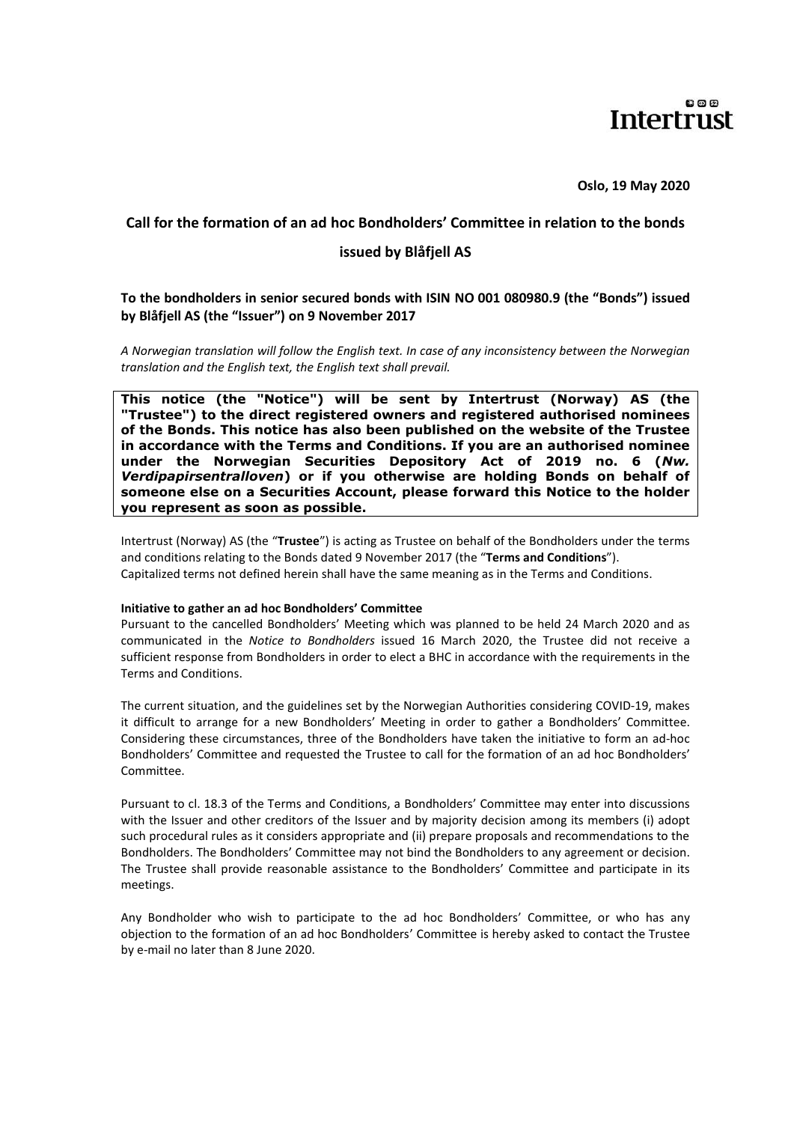## வகை Intertrust

 **Oslo, 19 May 2020**

## **Call for the formation of an ad hoc Bondholders' Committee in relation to the bonds**

### **issued by Blåfjell AS**

### **To the bondholders in senior secured bonds with ISIN NO 001 080980.9 (the "Bonds") issued by Blåfjell AS (the "Issuer") on 9 November 2017**

*A Norwegian translation will follow the English text. In case of any inconsistency between the Norwegian translation and the English text, the English text shall prevail.* 

**This notice (the "Notice") will be sent by Intertrust (Norway) AS (the "Trustee") to the direct registered owners and registered authorised nominees of the Bonds. This notice has also been published on the website of the Trustee in accordance with the Terms and Conditions. If you are an authorised nominee under the Norwegian Securities Depository Act of 2019 no. 6 (***Nw. Verdipapirsentralloven***) or if you otherwise are holding Bonds on behalf of someone else on a Securities Account, please forward this Notice to the holder you represent as soon as possible.** 

Intertrust (Norway) AS (the "**Trustee**") is acting as Trustee on behalf of the Bondholders under the terms and conditions relating to the Bonds dated 9 November 2017 (the "**Terms and Conditions**"). Capitalized terms not defined herein shall have the same meaning as in the Terms and Conditions.

#### **Initiative to gather an ad hoc Bondholders' Committee**

Pursuant to the cancelled Bondholders' Meeting which was planned to be held 24 March 2020 and as communicated in the *Notice to Bondholders* issued 16 March 2020, the Trustee did not receive a sufficient response from Bondholders in order to elect a BHC in accordance with the requirements in the Terms and Conditions.

The current situation, and the guidelines set by the Norwegian Authorities considering COVID-19, makes it difficult to arrange for a new Bondholders' Meeting in order to gather a Bondholders' Committee. Considering these circumstances, three of the Bondholders have taken the initiative to form an ad-hoc Bondholders' Committee and requested the Trustee to call for the formation of an ad hoc Bondholders' Committee.

Pursuant to cl. 18.3 of the Terms and Conditions, a Bondholders' Committee may enter into discussions with the Issuer and other creditors of the Issuer and by majority decision among its members (i) adopt such procedural rules as it considers appropriate and (ii) prepare proposals and recommendations to the Bondholders. The Bondholders' Committee may not bind the Bondholders to any agreement or decision. The Trustee shall provide reasonable assistance to the Bondholders' Committee and participate in its meetings.

Any Bondholder who wish to participate to the ad hoc Bondholders' Committee, or who has any objection to the formation of an ad hoc Bondholders' Committee is hereby asked to contact the Trustee by e-mail no later than 8 June 2020.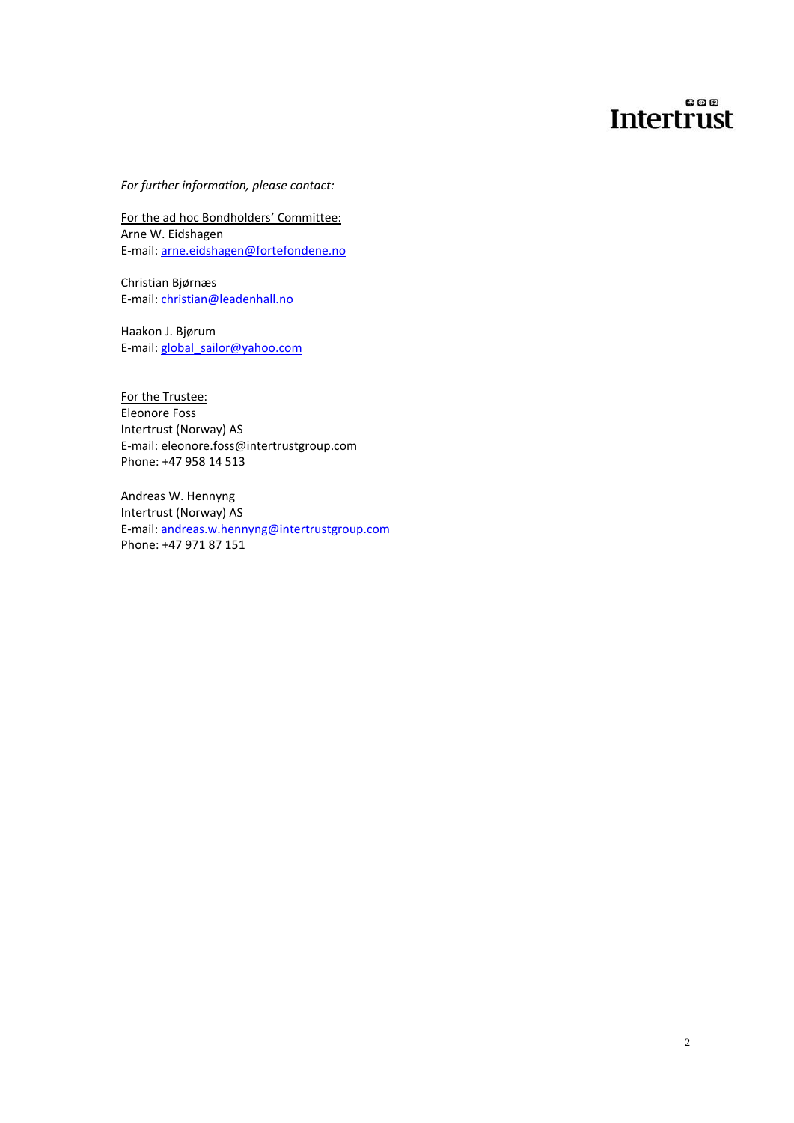# 000 Intertrust

*For further information, please contact:*

For the ad hoc Bondholders' Committee: Arne W. Eidshagen E-mail: [arne.eidshagen@fortefondene.no](mailto:arne.eidshagen@fortefondene.no)

Christian Bjørnæs E-mail: [christian@leadenhall.no](mailto:christian@leadenhall.no)

Haakon J. Bjørum E-mail: [global\\_sailor@yahoo.com](mailto:global_sailor@yahoo.com)

For the Trustee: Eleonore Foss Intertrust (Norway) AS E-mail: eleonore.foss@intertrustgroup.com Phone: +47 958 14 513

Andreas W. Hennyng Intertrust (Norway) AS E-mail: [andreas.w.hennyng@intertrustgroup.com](mailto:andreas.w.hennyng@intertrustgroup.com) Phone: +47 971 87 151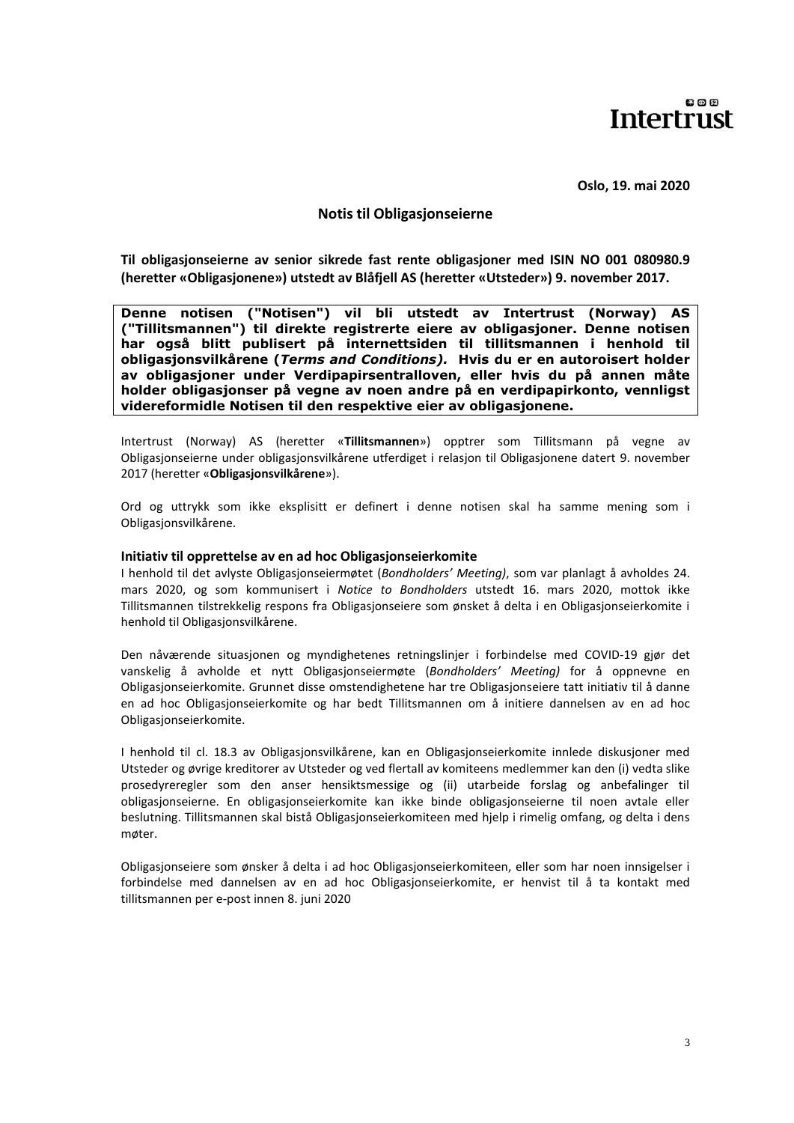

**Oslo, 19. mai 2020**

### **Notis til Obligasjonseierne**

**Til obligasjonseierne av senior sikrede fast rente obligasjoner med ISIN NO 001 080980.9 (heretter «Obligasjonene») utstedt av Blåfjell AS (heretter «Utsteder») 9. november 2017.**

**Denne notisen ("Notisen") vil bli utstedt av Intertrust (Norway) AS ("Tillitsmannen") til direkte registrerte eiere av obligasjoner. Denne notisen har også blitt publisert på internettsiden til tillitsmannen i henhold til obligasjonsvilkårene (***Terms and Conditions).* **Hvis du er en autoroisert holder av obligasjoner under Verdipapirsentralloven, eller hvis du på annen måte holder obligasjonser på vegne av noen andre på en verdipapirkonto, vennligst videreformidle Notisen til den respektive eier av obligasjonene.**

Intertrust (Norway) AS (heretter «**Tillitsmannen**») opptrer som Tillitsmann på vegne av Obligasjonseierne under obligasjonsvilkårene utferdiget i relasjon til Obligasjonene datert 9. november 2017 (heretter «**Obligasjonsvilkårene**»).

Ord og uttrykk som ikke eksplisitt er definert i denne notisen skal ha samme mening som i Obligasjonsvilkårene.

#### **Initiativ til opprettelse av en ad hoc Obligasjonseierkomite**

I henhold til det avlyste Obligasjonseiermøtet (*Bondholders' Meeting)*, som var planlagt å avholdes 24. mars 2020, og som kommunisert i *Notice to Bondholders* utstedt 16. mars 2020, mottok ikke Tillitsmannen tilstrekkelig respons fra Obligasjonseiere som ønsket å delta i en Obligasjonseierkomite i henhold til Obligasjonsvilkårene.

Den nåværende situasjonen og myndighetenes retningslinjer i forbindelse med COVID-19 gjør det vanskelig å avholde et nytt Obligasjonseiermøte (*Bondholders' Meeting)* for å oppnevne en Obligasjonseierkomite. Grunnet disse omstendighetene har tre Obligasjonseiere tatt initiativ til å danne en ad hoc Obligasjonseierkomite og har bedt Tillitsmannen om å initiere dannelsen av en ad hoc Obligasjonseierkomite.

I henhold til cl. 18.3 av Obligasjonsvilkårene, kan en Obligasjonseierkomite innlede diskusjoner med Utsteder og øvrige kreditorer av Utsteder og ved flertall av komiteens medlemmer kan den (i) vedta slike prosedyreregler som den anser hensiktsmessige og (ii) utarbeide forslag og anbefalinger til obligasjonseierne. En obligasjonseierkomite kan ikke binde obligasjonseierne til noen avtale eller beslutning. Tillitsmannen skal bistå Obligasjonseierkomiteen med hjelp i rimelig omfang, og delta i dens møter.

Obligasjonseiere som ønsker å delta i ad hoc Obligasjonseierkomiteen, eller som har noen innsigelser i forbindelse med dannelsen av en ad hoc Obligasjonseierkomite, er henvist til å ta kontakt med tillitsmannen per e-post innen 8. juni 2020